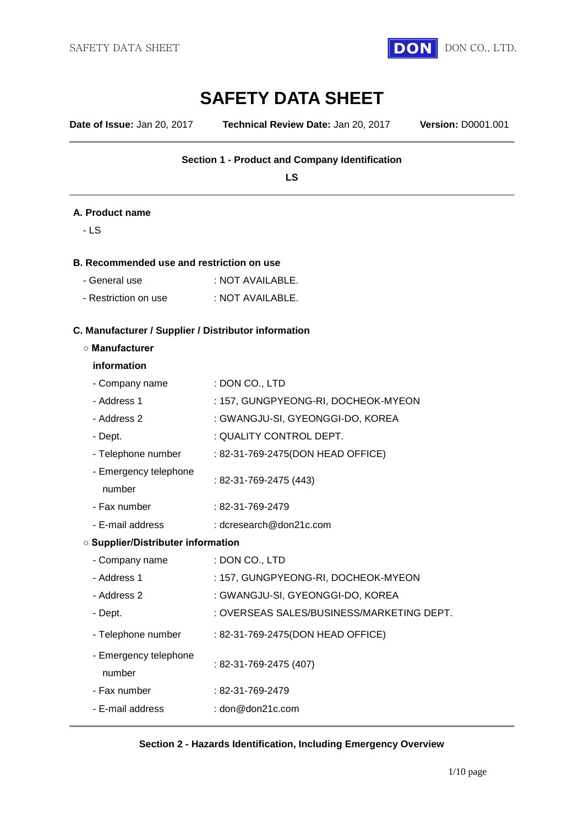

# **SAFETY DATA SHEET**

**Date of Issue:** Jan 20, 2017 **Technical Review Date:** Jan 20, 2017 **Version:** D0001.001

## **Section 1 - Product and Company Identification**

**LS**

#### **A. Product name**

- LS

#### **B. Recommended use and restriction on use**

| - General use        | : NOT AVAILABLE. |
|----------------------|------------------|
| - Restriction on use | : NOT AVAILABLE. |

# **C. Manufacturer / Supplier / Distributor information**

#### **○ Manufacturer**

#### **information**

| - Company name                            | : DON CO., LTD                            |
|-------------------------------------------|-------------------------------------------|
| - Address 1                               | : 157, GUNGPYEONG-RI, DOCHEOK-MYEON       |
| - Address 2                               | : GWANGJU-SI, GYEONGGI-DO, KOREA          |
| - Dept.                                   | : QUALITY CONTROL DEPT.                   |
| - Telephone number                        | : 82-31-769-2475(DON HEAD OFFICE)         |
| - Emergency telephone<br>number           | : 82-31-769-2475 (443)                    |
| - Fax number                              | : 82-31-769-2479                          |
| - E-mail address                          | : dcresearch@don21c.com                   |
| <b>O Supplier/Distributer information</b> |                                           |
| - Company name                            | : DON CO., LTD                            |
| - Address 1                               | : 157, GUNGPYEONG-RI, DOCHEOK-MYEON       |
| - Address 2                               | : GWANGJU-SI, GYEONGGI-DO, KOREA          |
| - Dept.                                   | : OVERSEAS SALES/BUSINESS/MARKETING DEPT. |
| - Telephone number                        | : 82-31-769-2475(DON HEAD OFFICE)         |
| - Emergency telephone<br>number           | : 82-31-769-2475 (407)                    |
| - Fax number                              | : 82-31-769-2479                          |
| - E-mail address                          | : $dom@don21c.com$                        |

### **Section 2 - Hazards Identification, Including Emergency Overview**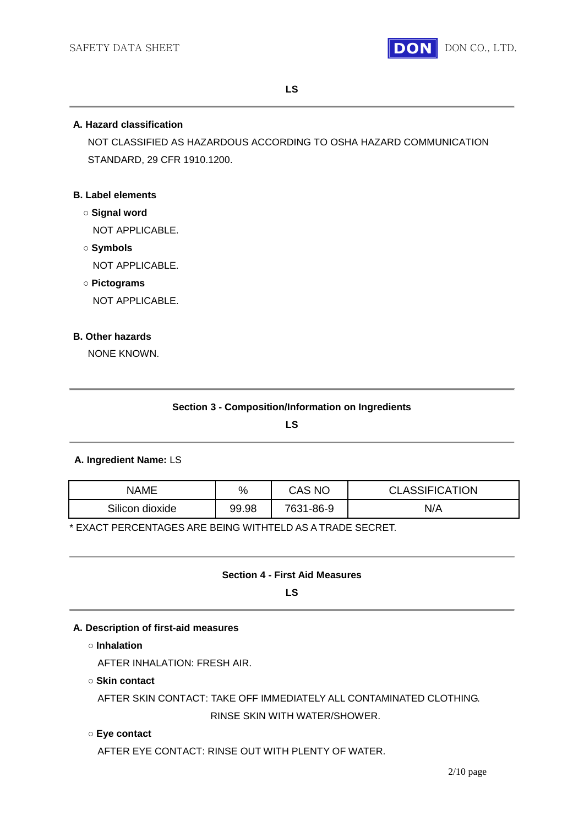

## **A. Hazard classification**

NOT CLASSIFIED AS HAZARDOUS ACCORDING TO OSHA HAZARD COMMUNICATION STANDARD, 29 CFR 1910.1200.

## **B. Label elements**

- **○ Signal word** NOT APPLICABLE.
- **○ Symbols** NOT APPLICABLE.
- **○ Pictograms**

NOT APPLICABLE.

## **B. Other hazards**

NONE KNOWN.

**LS**

## **A. Ingredient Name:** LS

| NAME            | %     | CAS NC    | <b>CLASSIFICATION</b> |
|-----------------|-------|-----------|-----------------------|
| Silicon dioxide | 99.98 | 7631-86-9 | N/A                   |

\* EXACT PERCENTAGES ARE BEING WITHTELD AS A TRADE SECRET.

## **Section 4 - First Aid Measures**

**LS**

## **A. Description of first-aid measures**

**○ Inhalation**

AFTER INHALATION: FRESH AIR.

**○ Skin contact**

AFTER SKIN CONTACT: TAKE OFF IMMEDIATELY ALL CONTAMINATED CLOTHING. RINSE SKIN WITH WATER/SHOWER.

### **○ Eye contact**

AFTER EYE CONTACT: RINSE OUT WITH PLENTY OF WATER.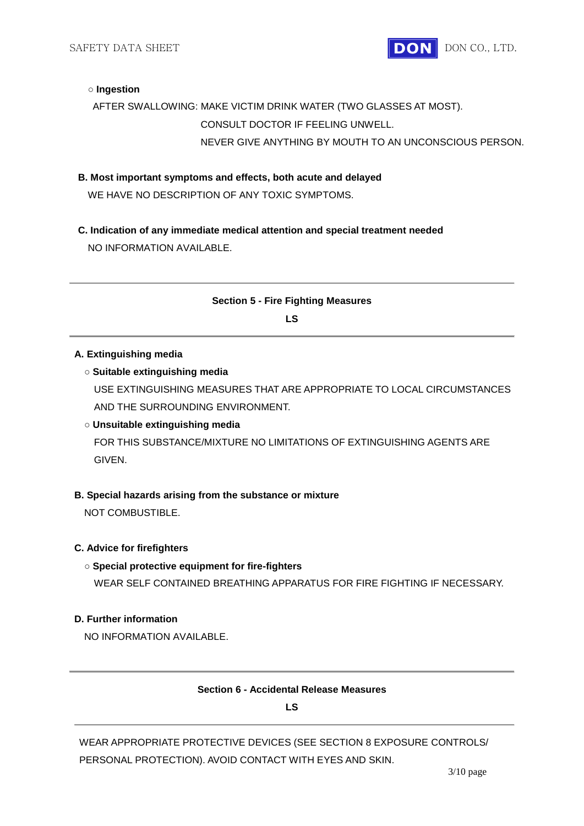

#### **○ Ingestion**

## AFTER SWALLOWING: MAKE VICTIM DRINK WATER (TWO GLASSES AT MOST). CONSULT DOCTOR IF FEELING UNWELL. NEVER GIVE ANYTHING BY MOUTH TO AN UNCONSCIOUS PERSON.

**B. Most important symptoms and effects, both acute and delayed**

WE HAVE NO DESCRIPTION OF ANY TOXIC SYMPTOMS.

**C. Indication of any immediate medical attention and special treatment needed** NO INFORMATION AVAILABLE.

## **Section 5 - Fire Fighting Measures**

**LS**

#### **A. Extinguishing media**

### **○ Suitable extinguishing media**

USE EXTINGUISHING MEASURES THAT ARE APPROPRIATE TO LOCAL CIRCUMSTANCES AND THE SURROUNDING ENVIRONMENT.

## **○ Unsuitable extinguishing media**

FOR THIS SUBSTANCE/MIXTURE NO LIMITATIONS OF EXTINGUISHING AGENTS ARE GIVEN.

### **B. Special hazards arising from the substance or mixture**

NOT COMBUSTIBLE.

#### **C. Advice for firefighters**

#### **○ Special protective equipment for fire-fighters**

WEAR SELF CONTAINED BREATHING APPARATUS FOR FIRE FIGHTING IF NECESSARY.

## **D. Further information**

NO INFORMATION AVAILABLE.

### **Section 6 - Accidental Release Measures**

**LS**

WEAR APPROPRIATE PROTECTIVE DEVICES (SEE SECTION 8 EXPOSURE CONTROLS/ PERSONAL PROTECTION). AVOID CONTACT WITH EYES AND SKIN.

3/10 page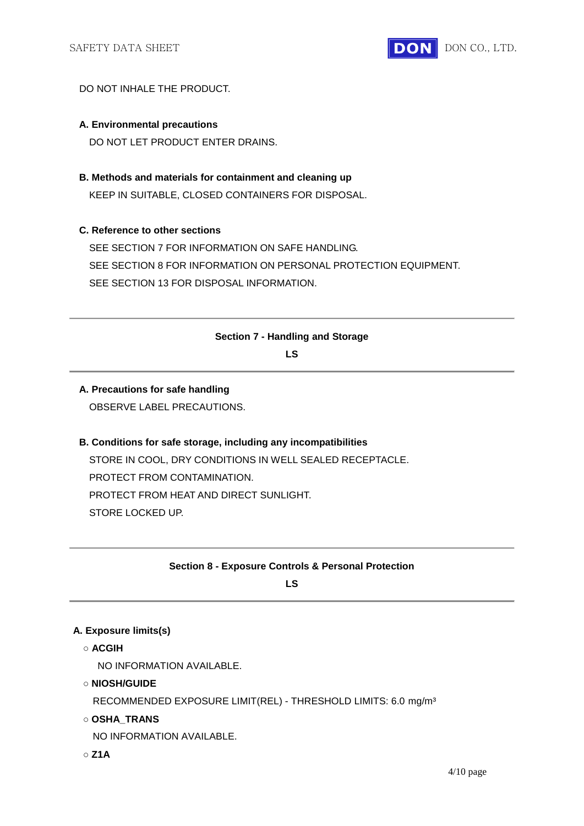

### DO NOT INHALE THE PRODUCT.

## **A. Environmental precautions**

DO NOT LET PRODUCT ENTER DRAINS.

**B. Methods and materials for containment and cleaning up**

KEEP IN SUITABLE, CLOSED CONTAINERS FOR DISPOSAL.

## **C. Reference to other sections**

SEE SECTION 7 FOR INFORMATION ON SAFE HANDLING. SEE SECTION 8 FOR INFORMATION ON PERSONAL PROTECTION EQUIPMENT. SEE SECTION 13 FOR DISPOSAL INFORMATION.

## **Section 7 - Handling and Storage**

**LS**

# **A. Precautions for safe handling**

OBSERVE LABEL PRECAUTIONS.

## **B. Conditions for safe storage, including any incompatibilities** STORE IN COOL, DRY CONDITIONS IN WELL SEALED RECEPTACLE. PROTECT FROM CONTAMINATION. PROTECT FROM HEAT AND DIRECT SUNLIGHT. STORE LOCKED UP.

## **Section 8 - Exposure Controls & Personal Protection**

**LS**

### **A. Exposure limits(s)**

**○ ACGIH**

NO INFORMATION AVAILABLE.

**○ NIOSH/GUIDE**

RECOMMENDED EXPOSURE LIMIT(REL) - THRESHOLD LIMITS: 6.0 mg/m³

**○ OSHA\_TRANS**

NO INFORMATION AVAILABLE.

**○ Z1A**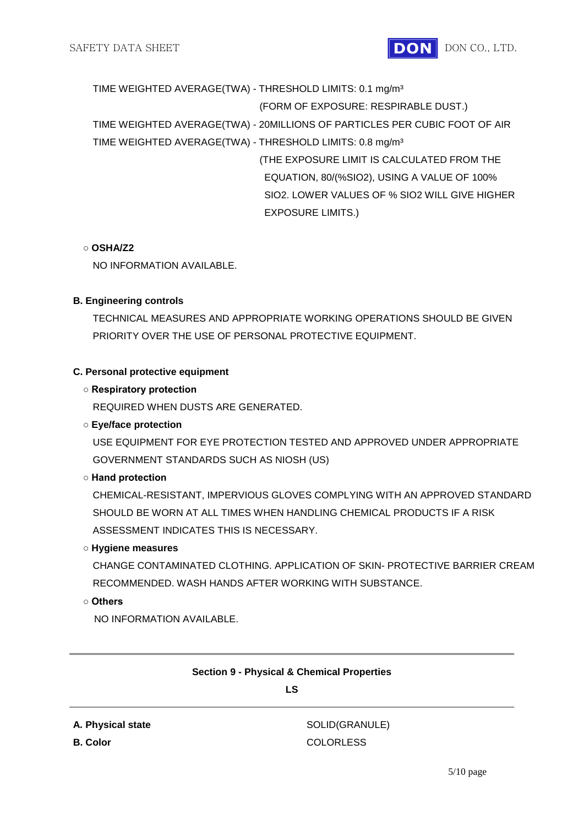

TIME WEIGHTED AVERAGE(TWA) - THRESHOLD LIMITS: 0.1 mg/m³ (FORM OF EXPOSURE: RESPIRABLE DUST.) TIME WEIGHTED AVERAGE(TWA) - 20MILLIONS OF PARTICLES PER CUBIC FOOT OF AIR TIME WEIGHTED AVERAGE(TWA) - THRESHOLD LIMITS: 0.8 mg/m³ (THE EXPOSURE LIMIT IS CALCULATED FROM THE EQUATION, 80/(%SIO2), USING A VALUE OF 100% SIO2. LOWER VALUES OF % SIO2 WILL GIVE HIGHER EXPOSURE LIMITS.)

## **○ OSHA/Z2**

NO INFORMATION AVAILABLE.

## **B. Engineering controls**

TECHNICAL MEASURES AND APPROPRIATE WORKING OPERATIONS SHOULD BE GIVEN PRIORITY OVER THE USE OF PERSONAL PROTECTIVE EQUIPMENT.

## **C. Personal protective equipment**

## **○ Respiratory protection**

REQUIRED WHEN DUSTS ARE GENERATED.

## **○ Eye/face protection**

USE EQUIPMENT FOR EYE PROTECTION TESTED AND APPROVED UNDER APPROPRIATE GOVERNMENT STANDARDS SUCH AS NIOSH (US)

## **○ Hand protection**

CHEMICAL-RESISTANT, IMPERVIOUS GLOVES COMPLYING WITH AN APPROVED STANDARD SHOULD BE WORN AT ALL TIMES WHEN HANDLING CHEMICAL PRODUCTS IF A RISK ASSESSMENT INDICATES THIS IS NECESSARY.

## **○ Hygiene measures**

CHANGE CONTAMINATED CLOTHING. APPLICATION OF SKIN- PROTECTIVE BARRIER CREAM RECOMMENDED. WASH HANDS AFTER WORKING WITH SUBSTANCE.

## **○ Others**

NO INFORMATION AVAILABLE.

## **Section 9 - Physical & Chemical Properties**

## **LS**

**A. Physical state** SOLID(GRANULE) **B. Color** COLORLESS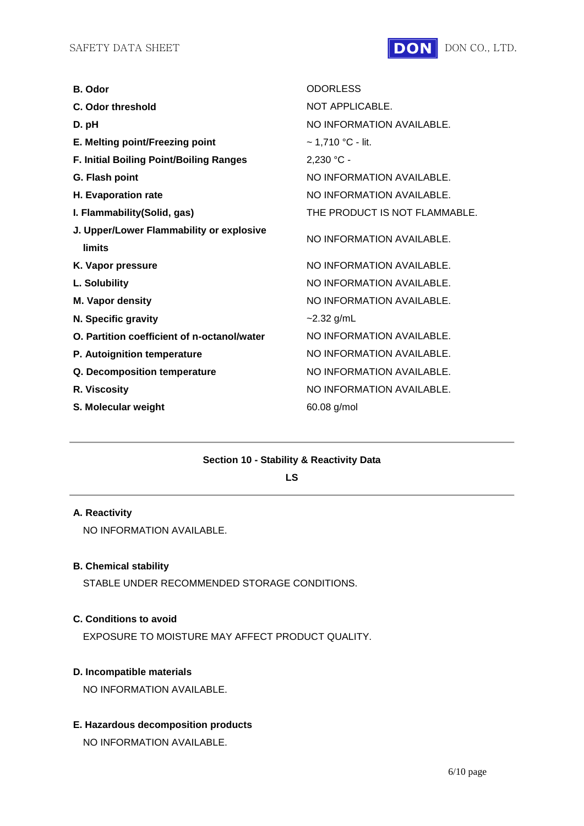

| <b>B.</b> Odor                                            | <b>ODORLESS</b>               |
|-----------------------------------------------------------|-------------------------------|
| C. Odor threshold                                         | NOT APPLICABLE.               |
| D. pH                                                     | NO INFORMATION AVAILABLE.     |
| E. Melting point/Freezing point                           | $\sim$ 1,710 °C - lit.        |
| F. Initial Boiling Point/Boiling Ranges                   | $2,230 °C -$                  |
| G. Flash point                                            | NO INFORMATION AVAILABLE.     |
| H. Evaporation rate                                       | NO INFORMATION AVAILABLE.     |
| I. Flammability (Solid, gas)                              | THE PRODUCT IS NOT FLAMMABLE. |
| J. Upper/Lower Flammability or explosive<br><b>limits</b> | NO INFORMATION AVAILABLE.     |
| K. Vapor pressure                                         | NO INFORMATION AVAILABLE.     |
| L. Solubility                                             | NO INFORMATION AVAILABLE.     |
| M. Vapor density                                          | NO INFORMATION AVAILABLE.     |
| N. Specific gravity                                       | $-2.32$ g/mL                  |
| O. Partition coefficient of n-octanol/water               | NO INFORMATION AVAILABLE.     |
| P. Autoignition temperature                               | NO INFORMATION AVAILABLE.     |
| Q. Decomposition temperature                              | NO INFORMATION AVAILABLE.     |
| R. Viscosity                                              | NO INFORMATION AVAILABLE.     |
| S. Molecular weight                                       | 60.08 g/mol                   |

## **Section 10 - Stability & Reactivity Data**

**LS**

## **A. Reactivity**

NO INFORMATION AVAILABLE.

#### **B. Chemical stability**

STABLE UNDER RECOMMENDED STORAGE CONDITIONS.

## **C. Conditions to avoid**

EXPOSURE TO MOISTURE MAY AFFECT PRODUCT QUALITY.

## **D. Incompatible materials**

NO INFORMATION AVAILABLE.

## **E. Hazardous decomposition products**

NO INFORMATION AVAILABLE.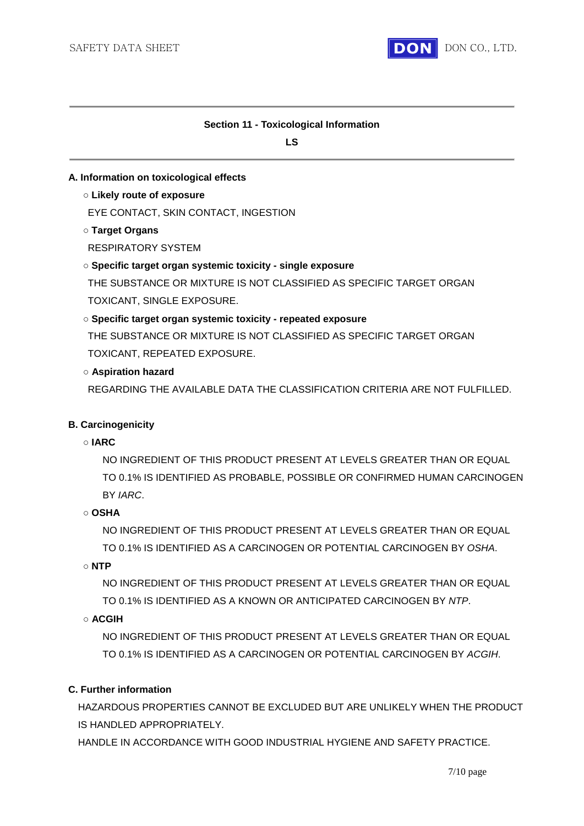

## **Section 11 - Toxicological Information**

**LS**

## **A. Information on toxicological effects**

**○ Likely route of exposure**

EYE CONTACT, SKIN CONTACT, INGESTION

**○ Target Organs**

RESPIRATORY SYSTEM

**○ Specific target organ systemic toxicity - single exposure**

THE SUBSTANCE OR MIXTURE IS NOT CLASSIFIED AS SPECIFIC TARGET ORGAN TOXICANT, SINGLE EXPOSURE.

## **○ Specific target organ systemic toxicity - repeated exposure**

THE SUBSTANCE OR MIXTURE IS NOT CLASSIFIED AS SPECIFIC TARGET ORGAN TOXICANT, REPEATED EXPOSURE.

## **○ Aspiration hazard**

REGARDING THE AVAILABLE DATA THE CLASSIFICATION CRITERIA ARE NOT FULFILLED.

## **B. Carcinogenicity**

### **○ IARC**

NO INGREDIENT OF THIS PRODUCT PRESENT AT LEVELS GREATER THAN OR EQUAL TO 0.1% IS IDENTIFIED AS PROBABLE, POSSIBLE OR CONFIRMED HUMAN CARCINOGEN BY *IARC*.

### **○ OSHA**

NO INGREDIENT OF THIS PRODUCT PRESENT AT LEVELS GREATER THAN OR EQUAL TO 0.1% IS IDENTIFIED AS A CARCINOGEN OR POTENTIAL CARCINOGEN BY *OSHA*.

## **○ NTP**

NO INGREDIENT OF THIS PRODUCT PRESENT AT LEVELS GREATER THAN OR EQUAL TO 0.1% IS IDENTIFIED AS A KNOWN OR ANTICIPATED CARCINOGEN BY *NTP*.

## **○ ACGIH**

NO INGREDIENT OF THIS PRODUCT PRESENT AT LEVELS GREATER THAN OR EQUAL TO 0.1% IS IDENTIFIED AS A CARCINOGEN OR POTENTIAL CARCINOGEN BY *ACGIH*.

## **C. Further information**

HAZARDOUS PROPERTIES CANNOT BE EXCLUDED BUT ARE UNLIKELY WHEN THE PRODUCT IS HANDLED APPROPRIATELY.

HANDLE IN ACCORDANCE WITH GOOD INDUSTRIAL HYGIENE AND SAFETY PRACTICE.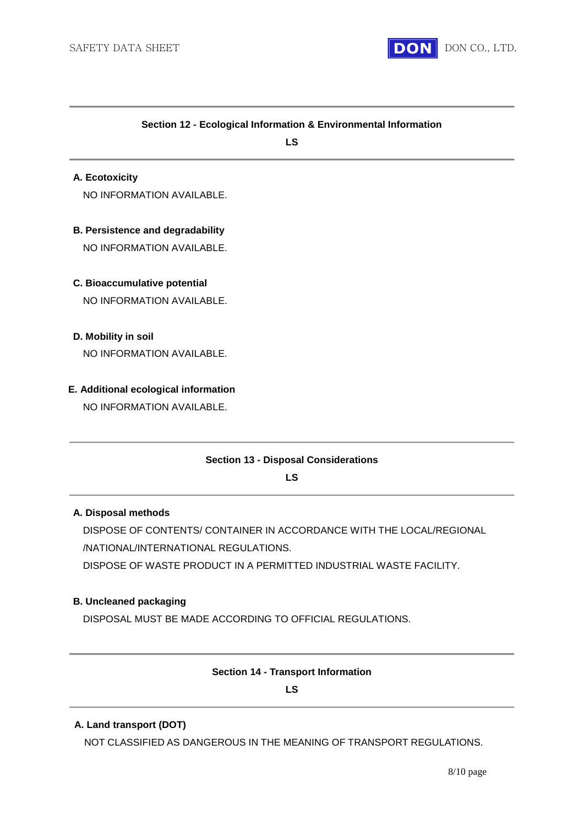

#### **Section 12 - Ecological Information & Environmental Information**

**LS**

#### **A. Ecotoxicity**

NO INFORMATION AVAILABLE.

## **B. Persistence and degradability**

NO INFORMATION AVAILABLE.

## **C. Bioaccumulative potential**

NO INFORMATION AVAILABLE.

## **D. Mobility in soil**

NO INFORMATION AVAILABLE.

### **E. Additional ecological information**

NO INFORMATION AVAILABLE.

### **Section 13 - Disposal Considerations**

**LS**

## **A. Disposal methods**

DISPOSE OF CONTENTS/ CONTAINER IN ACCORDANCE WITH THE LOCAL/REGIONAL /NATIONAL/INTERNATIONAL REGULATIONS.

DISPOSE OF WASTE PRODUCT IN A PERMITTED INDUSTRIAL WASTE FACILITY.

### **B. Uncleaned packaging**

DISPOSAL MUST BE MADE ACCORDING TO OFFICIAL REGULATIONS.

#### **Section 14 - Transport Information**

#### **LS**

### **A. Land transport (DOT)**

NOT CLASSIFIED AS DANGEROUS IN THE MEANING OF TRANSPORT REGULATIONS.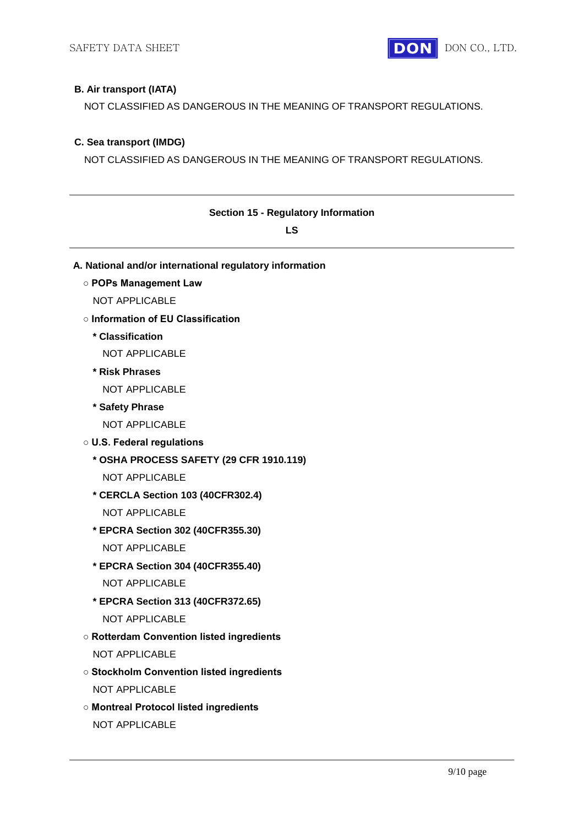## **B. Air transport (IATA)**

NOT CLASSIFIED AS DANGEROUS IN THE MEANING OF TRANSPORT REGULATIONS.

## **C. Sea transport (IMDG)**

NOT CLASSIFIED AS DANGEROUS IN THE MEANING OF TRANSPORT REGULATIONS.

| <b>Section 15 - Regulatory Information</b>              |  |
|---------------------------------------------------------|--|
| LS                                                      |  |
| A. National and/or international regulatory information |  |
| o POPs Management Law                                   |  |
| <b>NOT APPLICABLE</b>                                   |  |
| o Information of EU Classification                      |  |
| * Classification                                        |  |
| <b>NOT APPLICABLE</b>                                   |  |
| * Risk Phrases                                          |  |
| <b>NOT APPLICABLE</b>                                   |  |
| * Safety Phrase                                         |  |
| <b>NOT APPLICABLE</b>                                   |  |
| <b>O U.S. Federal regulations</b>                       |  |
| * OSHA PROCESS SAFETY (29 CFR 1910.119)                 |  |
| <b>NOT APPLICABLE</b>                                   |  |
| * CERCLA Section 103 (40CFR302.4)                       |  |
| <b>NOT APPLICABLE</b>                                   |  |
| * EPCRA Section 302 (40CFR355.30)                       |  |
| <b>NOT APPLICABLE</b>                                   |  |
| * EPCRA Section 304 (40CFR355.40)                       |  |
| <b>NOT APPLICABLE</b>                                   |  |
| * EPCRA Section 313 (40CFR372.65)                       |  |
| <b>NOT APPLICABLE</b>                                   |  |
| <b>O Rotterdam Convention listed ingredients</b>        |  |
| NOT APPLICABLE                                          |  |
| <b>o Stockholm Convention listed ingredients</b>        |  |
| NOT APPLICABLE                                          |  |
| o Montreal Protocol listed ingredients                  |  |
| NOT APPLICABLE                                          |  |